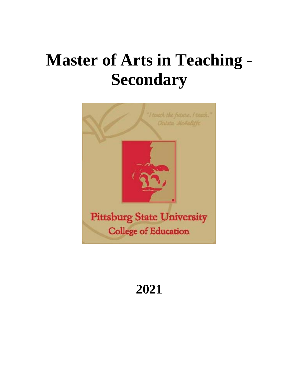# **Master of Arts in Teaching - Secondary**



# **2021**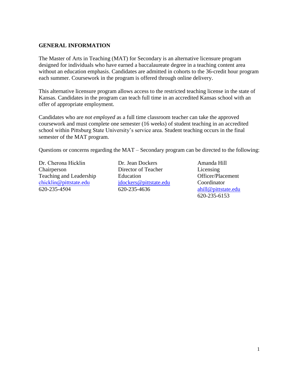# **GENERAL INFORMATION**

The Master of Arts in Teaching (MAT) for Secondary is an alternative licensure program designed for individuals who have earned a baccalaureate degree in a teaching content area without an education emphasis. Candidates are admitted in cohorts to the 36-credit hour program each summer. Coursework in the program is offered through online delivery.

This alternative licensure program allows access to the restricted teaching license in the state of Kansas. Candidates in the program can teach full time in an accredited Kansas school with an offer of appropriate employment.

Candidates who are *not employed* as a full time classroom teacher can take the approved coursework and must complete one semester (16 weeks) of student teaching in an accredited school within Pittsburg State University's service area. Student teaching occurs in the final semester of the MAT program.

Questions or concerns regarding the MAT – Secondary program can be directed to the following:

Dr. Cherona Hicklin Chairperson Teaching and Leadership chicklin[@pittstate.edu](mailto:broberts@pittstate.edu) 620-235-4504

Dr. Jean Dockers Director of Teacher Education [jdockers@pittstate.edu](mailto:jdockers@pittstate.edu) 620-235-4636

Amanda Hill Licensing Officer/Placement Coordinator [ahill@pittstate.edu](mailto:ahill@pittstate.edu) 620-235-6153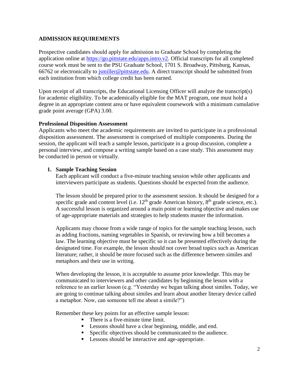# **ADMISSION REQUIREMENTS**

Prospective candidates should apply for admission to Graduate School by completing the application online at [https://go.pittstate.edu/apps.intro.v2.](https://go.pittstate.edu/apps.intro.v2) Official transcripts for all completed course work must be sent to the PSU Graduate School, 1701 S. Broadway, Pittsburg, Kansas, 66762 or electronically to [jsmiller@pittstate.edu.](mailto:jsmiller@pittstate.edu) A direct transcript should be submitted from each institution from which college credit has been earned.

Upon receipt of all transcripts, the Educational Licensing Officer will analyze the transcript(s) for academic eligibility. To be academically eligible for the MAT program, one must hold a degree in an appropriate content area or have equivalent coursework with a minimum cumulative grade point average (GPA) 3.00.

#### **Professional Disposition Assessment**

Applicants who meet the academic requirements are invited to participate in a professional disposition assessment. The assessment is comprised of multiple components. During the session, the applicant will teach a sample lesson, participate in a group discussion, complete a personal interview, and compose a writing sample based on a case study. This assessment may be conducted in person or virtually.

# **1. Sample Teaching Session**

Each applicant will conduct a five-minute teaching session while other applicants and interviewers participate as students. Questions should be expected from the audience.

The lesson should be prepared prior to the assessment session. It should be designed for a specific grade and content level (i.e.  $12<sup>th</sup>$  grade American history,  $8<sup>th</sup>$  grade science, etc.). A successful lesson is organized around a main point or learning objective and makes use of age-appropriate materials and strategies to help students master the information.

Applicants may choose from a wide range of topics for the sample teaching lesson, such as adding fractions, naming vegetables in Spanish, or reviewing how a bill becomes a law. The learning objective must be specific so it can be presented effectively during the designated time. For example, the lesson should not cover broad topics such as American literature; rather, it should be more focused such as the difference between similes and metaphors and their use in writing.

When developing the lesson, it is acceptable to assume prior knowledge. This may be communicated to interviewers and other candidates by beginning the lesson with a reference to an earlier lesson (e.g. "Yesterday we began talking about similes. Today, we are going to continue talking about similes and learn about another literary device called a metaphor. Now, can someone tell me about a simile?")

Remember these key points for an effective sample lesson:

- There is a five-minute time limit.
- Lessons should have a clear beginning, middle, and end.
- Specific objectives should be communicated to the audience.
- Lessons should be interactive and age-appropriate.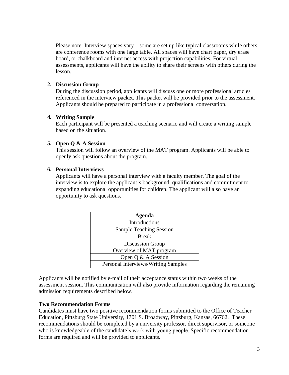Please note: Interview spaces vary – some are set up like typical classrooms while others are conference rooms with one large table. All spaces will have chart paper, dry erase board, or chalkboard and internet access with projection capabilities*.* For virtual assessments, applicants will have the ability to share their screens with others during the lesson.

# **2. Discussion Group**

During the discussion period, applicants will discuss one or more professional articles referenced in the interview packet. This packet will be provided prior to the assessment. Applicants should be prepared to participate in a professional conversation.

# **4. Writing Sample**

Each participant will be presented a teaching scenario and will create a writing sample based on the situation.

# **5. Open Q & A Session**

This session will follow an overview of the MAT program. Applicants will be able to openly ask questions about the program.

# **6. Personal Interviews**

Applicants will have a personal interview with a faculty member. The goal of the interview is to explore the applicant's background, qualifications and commitment to expanding educational opportunities for children. The applicant will also have an opportunity to ask questions.

| Agenda                              |
|-------------------------------------|
| Introductions                       |
| <b>Sample Teaching Session</b>      |
| <b>Break</b>                        |
| Discussion Group                    |
| Overview of MAT program             |
| Open Q & A Session                  |
| Personal Interviews/Writing Samples |

Applicants will be notified by e-mail of their acceptance status within two weeks of the assessment session. This communication will also provide information regarding the remaining admission requirements described below.

#### **Two Recommendation Forms**

Candidates must have two positive recommendation forms submitted to the Office of Teacher Education, Pittsburg State University, 1701 S. Broadway, Pittsburg, Kansas, 66762. These recommendations should be completed by a university professor, direct supervisor, or someone who is knowledgeable of the candidate's work with young people. Specific recommendation forms are required and will be provided to applicants.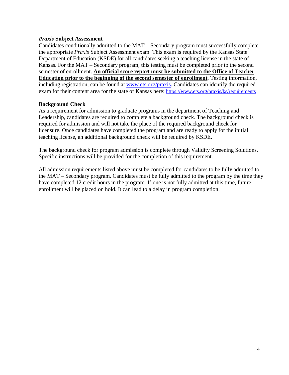#### *Praxis* **Subject Assessment**

Candidates conditionally admitted to the MAT – Secondary program must successfully complete the appropriate *Praxis* Subject Assessment exam. This exam is required by the Kansas State Department of Education (KSDE) for all candidates seeking a teaching license in the state of Kansas. For the MAT – Secondary program, this testing must be completed prior to the second semester of enrollment. **An official score report must be submitted to the Office of Teacher Education prior to the beginning of the second semester of enrollment**. Testing information, including registration, can be found at [www.ets.org/praxis.](file:///C:/Documents%20and%20Settings/ahill/My%20Documents/MAT/www.ets.org/praxis) Candidates can identify the required exam for their content area for the state of Kansas here: <https://www.ets.org/praxis/ks/requirements>

# **Background Check**

As a requirement for admission to graduate programs in the department of Teaching and Leadership, candidates are required to complete a background check. The background check is required for admission and will not take the place of the required background check for licensure. Once candidates have completed the program and are ready to apply for the initial teaching license, an additional background check will be required by KSDE.

The background check for program admission is complete through Validity Screening Solutions. Specific instructions will be provided for the completion of this requirement.

All admission requirements listed above must be completed for candidates to be fully admitted to the MAT – Secondary program. Candidates must be fully admitted to the program by the time they have completed 12 credit hours in the program. If one is not fully admitted at this time, future enrollment will be placed on hold. It can lead to a delay in program completion.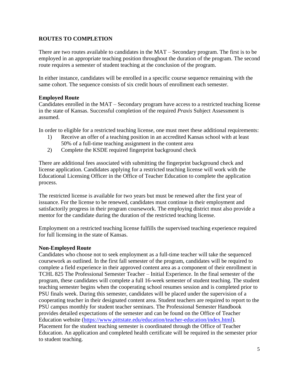# **ROUTES TO COMPLETION**

There are two routes available to candidates in the MAT – Secondary program. The first is to be employed in an appropriate teaching position throughout the duration of the program. The second route requires a semester of student teaching at the conclusion of the program.

In either instance, candidates will be enrolled in a specific course sequence remaining with the same cohort. The sequence consists of six credit hours of enrollment each semester.

# **Employed Route**

Candidates enrolled in the MAT – Secondary program have access to a restricted teaching license in the state of Kansas. Successful completion of the required *Praxis* Subject Assessment is assumed.

In order to eligible for a restricted teaching license, one must meet these additional requirements:

- 1) Receive an offer of a teaching position in an accredited Kansas school with at least 50% of a full-time teaching assignment in the content area
- 2) Complete the KSDE required fingerprint background check

There are additional fees associated with submitting the fingerprint background check and license application. Candidates applying for a restricted teaching license will work with the Educational Licensing Officer in the Office of Teacher Education to complete the application process.

The restricted license is available for two years but must be renewed after the first year of issuance. For the license to be renewed, candidates must continue in their employment and satisfactorily progress in their program coursework. The employing district must also provide a mentor for the candidate during the duration of the restricted teaching license.

Employment on a restricted teaching license fulfills the supervised teaching experience required for full licensing in the state of Kansas.

# **Non-Employed Route**

Candidates who choose not to seek employment as a full-time teacher will take the sequenced coursework as outlined. In the first fall semester of the program, candidates will be required to complete a field experience in their approved content area as a component of their enrollment in TCHL 825 The Professional Semester Teacher – Initial Experience. In the final semester of the program, these candidates will complete a full 16-week semester of student teaching. The student teaching semester begins when the cooperating school resumes session and is completed prior to PSU finals week. During this semester, candidates will be placed under the supervision of a cooperating teacher in their designated content area. Student teachers are required to report to the PSU campus monthly for student teacher seminars. The Professional Semester Handbook provides detailed expectations of the semester and can be found on the Office of Teacher Education website [\(https://www.pittstate.edu/education/teacher-education/index.html\)](https://www.pittstate.edu/education/teacher-education/index.html). Placement for the student teaching semester is coordinated through the Office of Teacher Education. An application and completed health certificate will be required in the semester prior to student teaching.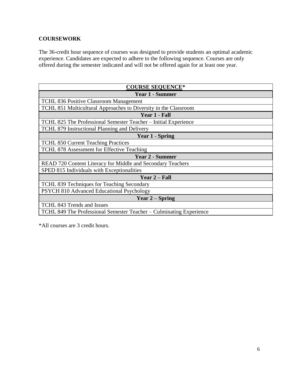# **COURSEWORK**

The 36-credit hour sequence of courses was designed to provide students an optimal academic experience. Candidates are expected to adhere to the following sequence. Courses are only offered during the semester indicated and will not be offered again for at least one year.

| <b>COURSE SEQUENCE*</b>                                             |
|---------------------------------------------------------------------|
| <b>Year 1 - Summer</b>                                              |
| <b>TCHL 836 Positive Classroom Management</b>                       |
| TCHL 851 Multicultural Approaches to Diversity in the Classroom     |
| Year 1 - Fall                                                       |
| TCHL 825 The Professional Semester Teacher - Initial Experience     |
| TCHL 879 Instructional Planning and Delivery                        |
| <b>Year 1 - Spring</b>                                              |
| <b>TCHL 850 Current Teaching Practices</b>                          |
| TCHL 878 Assessment for Effective Teaching                          |
| <b>Year 2 - Summer</b>                                              |
| READ 720 Content Literacy for Middle and Secondary Teachers         |
| SPED 815 Individuals with Exceptionalities                          |
| Year 2 – Fall                                                       |
| TCHL 839 Techniques for Teaching Secondary                          |
| PSYCH 810 Advanced Educational Psychology                           |
| Year $2$ – Spring                                                   |
| TCHL 843 Trends and Issues                                          |
| TCHL 849 The Professional Semester Teacher – Culminating Experience |

\*All courses are 3 credit hours.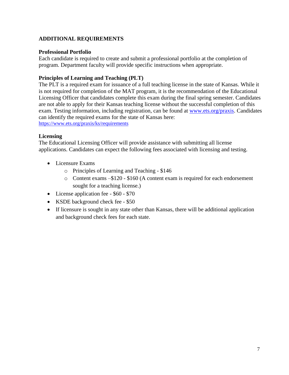# **ADDITIONAL REQUIREMENTS**

# **Professional Portfolio**

Each candidate is required to create and submit a professional portfolio at the completion of program. Department faculty will provide specific instructions when appropriate.

# **Principles of Learning and Teaching (PLT)**

The PLT is a required exam for issuance of a full teaching license in the state of Kansas. While it is not required for completion of the MAT program, it is the recommendation of the Educational Licensing Officer that candidates complete this exam during the final spring semester. Candidates are not able to apply for their Kansas teaching license without the successful completion of this exam. Testing information, including registration, can be found at [www.ets.org/praxis.](file:///C:/Documents%20and%20Settings/ahill/My%20Documents/MAT/www.ets.org/praxis) Candidates can identify the required exams for the state of Kansas here: <https://www.ets.org/praxis/ks/requirements>

# **Licensing**

The Educational Licensing Officer will provide assistance with submitting all license applications. Candidates can expect the following fees associated with licensing and testing.

- Licensure Exams
	- o Principles of Learning and Teaching \$146
	- o Content exams –\$120 \$160 (A content exam is required for each endorsement sought for a teaching license.)
- License application fee \$60 \$70
- KSDE background check fee \$50
- If licensure is sought in any state other than Kansas, there will be additional application and background check fees for each state.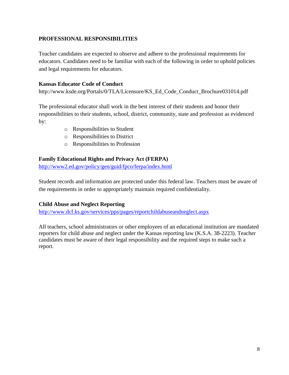# **PROFESSIONAL RESPONSIBILITIES**

Teacher candidates are expected to observe and adhere to the professional requirements for educators. Candidates need to be familiar with each of the following in order to uphold policies and legal requirements for educators.

# **Kansas Educator Code of Conduct**

http://www.ksde.org/Portals/0/TLA/Licensure/KS\_Ed\_Code\_Conduct\_Brochure031014.pdf

The professional educator shall work in the best interest of their students and honor their responsibilities to their students, school, district, community, state and profession as evidenced by:

- o Responsibilities to Student
- o Responsibilities to District
- o Responsibilities to Profession

# **Family Educational Rights and Privacy Act (FERPA)**

<http://www2.ed.gov/policy/gen/guid/fpco/ferpa/index.html>

Student records and information are protected under this federal law. Teachers must be aware of the requirements in order to appropriately maintain required confidentiality.

# **Child Abuse and Neglect Reporting**

<http://www.dcf.ks.gov/services/pps/pages/reportchildabuseandneglect.aspx>

All teachers, school administrators or other employees of an educational institution are mandated reporters for child abuse and neglect under the Kansas reporting law (K.S.A. 38-2223). Teacher candidates must be aware of their legal responsibility and the required steps to make such a report.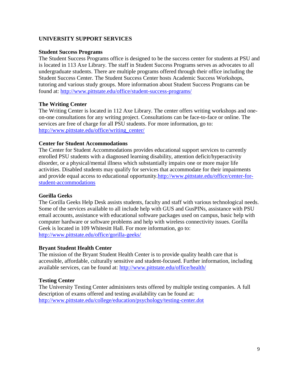# **UNIVERSITY SUPPORT SERVICES**

#### **Student Success Programs**

The Student Success Programs office is designed to be the success center for students at PSU and is located in 113 Axe Library. The staff in Student Success Programs serves as advocates to all undergraduate students. There are multiple programs offered through their office including the Student Success Center. The Student Success Center hosts Academic Success Workshops, tutoring and various study groups. More information about Student Success Programs can be found at:<http://www.pittstate.edu/office/student-success-programs/>

#### **The Writing Center**

The Writing Center is located in 112 Axe Library. The center offers writing workshops and oneon-one consultations for any writing project. Consultations can be face-to-face or online. The services are free of charge for all PSU students. For more information, go to: [http://www.pittstate.edu/office/writing\\_center/](http://www.pittstate.edu/office/writing_center/)

#### **Center for Student Accommodations**

The Center for Student Accommodations provides educational support services to currently enrolled PSU students with a diagnosed learning disability, attention deficit/hyperactivity disorder, or a physical/mental illness which substantially impairs one or more major life activities. Disabled students may qualify for services that accommodate for their impairments and provide equal access to educational opportunity[.http://www.pittstate.edu/office/center-for](http://www.pittstate.edu/office/center-for-student-accommodations)[student-accommodations](http://www.pittstate.edu/office/center-for-student-accommodations)

#### **Gorilla Geeks**

The Gorilla Geeks Help Desk assists students, faculty and staff with various technological needs. Some of the services available to all include help with GUS and GusPINs, assistance with PSU email accounts, assistance with educational software packages used on campus, basic help with computer hardware or software problems and help with wireless connectivity issues. Gorilla Geek is located in 109 Whitesitt Hall. For more information, go to: <http://www.pittstate.edu/office/gorilla-geeks/>

#### **Bryant Student Health Center**

The mission of the Bryant Student Health Center is to provide quality health care that is accessible, affordable, culturally sensitive and student-focused. Further information, including available services, can be found at:<http://www.pittstate.edu/office/health/>

#### **Testing Center**

The University Testing Center administers tests offered by multiple testing companies. A full description of exams offered and testing availability can be found at: <http://www.pittstate.edu/college/education/psychology/testing-center.dot>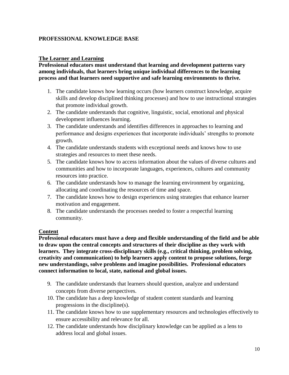# **PROFESSIONAL KNOWLEDGE BASE**

# **The Learner and Learning**

# **Professional educators must understand that learning and development patterns vary among individuals, that learners bring unique individual differences to the learning process and that learners need supportive and safe learning environments to thrive.**

- 1. The candidate knows how learning occurs (how learners construct knowledge, acquire skills and develop disciplined thinking processes) and how to use instructional strategies that promote individual growth.
- 2. The candidate understands that cognitive, linguistic, social, emotional and physical development influences learning.
- 3. The candidate understands and identifies differences in approaches to learning and performance and designs experiences that incorporate individuals' strengths to promote growth.
- 4. The candidate understands students with exceptional needs and knows how to use strategies and resources to meet these needs.
- 5. The candidate knows how to access information about the values of diverse cultures and communities and how to incorporate languages, experiences, cultures and community resources into practice.
- 6. The candidate understands how to manage the learning environment by organizing, allocating and coordinating the resources of time and space.
- 7. The candidate knows how to design experiences using strategies that enhance learner motivation and engagement.
- 8. The candidate understands the processes needed to foster a respectful learning community.

# **Content**

**Professional educators must have a deep and flexible understanding of the field and be able to draw upon the central concepts and structures of their discipline as they work with learners. They integrate cross-disciplinary skills (e.g., critical thinking, problem solving, creativity and communication) to help learners apply content to propose solutions, forge new understandings, solve problems and imagine possibilities. Professional educators connect information to local, state, national and global issues.**

- 9. The candidate understands that learners should question, analyze and understand concepts from diverse perspectives.
- 10. The candidate has a deep knowledge of student content standards and learning progressions in the discipline(s).
- 11. The candidate knows how to use supplementary resources and technologies effectively to ensure accessibility and relevance for all.
- 12. The candidate understands how disciplinary knowledge can be applied as a lens to address local and global issues.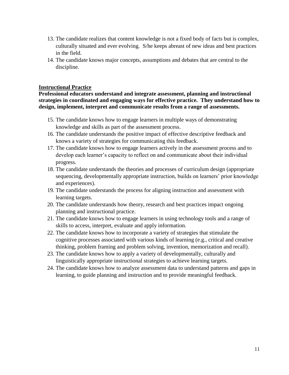- 13. The candidate realizes that content knowledge is not a fixed body of facts but is complex, culturally situated and ever evolving. S/he keeps abreast of new ideas and best practices in the field.
- 14. The candidate knows major concepts, assumptions and debates that are central to the discipline.

#### **Instructional Practice**

**Professional educators understand and integrate assessment, planning and instructional strategies in coordinated and engaging ways for effective practice. They understand how to design, implement, interpret and communicate results from a range of assessments.**

- 15. The candidate knows how to engage learners in multiple ways of demonstrating knowledge and skills as part of the assessment process.
- 16. The candidate understands the positive impact of effective descriptive feedback and knows a variety of strategies for communicating this feedback.
- 17. The candidate knows how to engage learners actively in the assessment process and to develop each learner's capacity to reflect on and communicate about their individual progress.
- 18. The candidate understands the theories and processes of curriculum design (appropriate sequencing, developmentally appropriate instruction, builds on learners' prior knowledge and experiences).
- 19. The candidate understands the process for aligning instruction and assessment with learning targets.
- 20. The candidate understands how theory, research and best practices impact ongoing planning and instructional practice.
- 21. The candidate knows how to engage learners in using technology tools and a range of skills to access, interpret, evaluate and apply information.
- 22. The candidate knows how to incorporate a variety of strategies that stimulate the cognitive processes associated with various kinds of learning (e.g., critical and creative thinking, problem framing and problem solving, invention, memorization and recall).
- 23. The candidate knows how to apply a variety of developmentally, culturally and linguistically appropriate instructional strategies to achieve learning targets.
- 24. The candidate knows how to analyze assessment data to understand patterns and gaps in learning, to guide planning and instruction and to provide meaningful feedback.